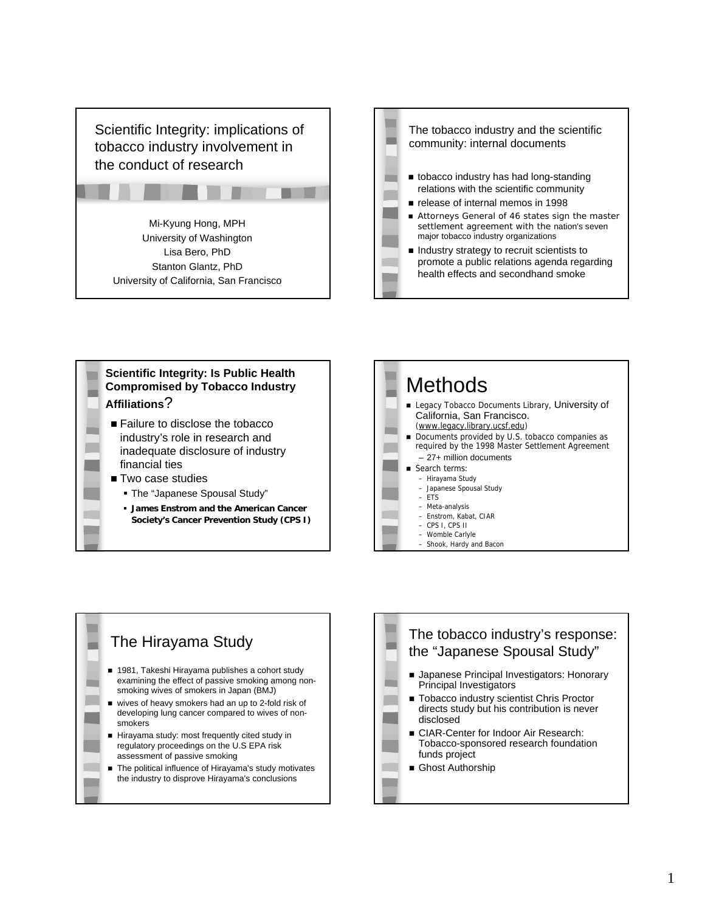



## **Scientific Integrity: Is Public Health Compromised by Tobacco Industry Affiliations**? ■ Failure to disclose the tobacco

- industry's role in research and inadequate disclosure of industry financial ties
- Two case studies
	- The "Japanese Spousal Study"
	- **James Enstrom and the American Cancer Society's Cancer Prevention Study (CPS I)**



### The Hirayama Study ■ 1981, Takeshi Hirayama publishes a cohort study examining the effect of passive smoking among nonsmoking wives of smokers in Japan (BMJ) wives of heavy smokers had an up to 2-fold risk of developing lung cancer compared to wives of nonsmokers Hirayama study: most frequently cited study in regulatory proceedings on the U.S EPA risk assessment of passive smoking ■ The political influence of Hirayama's study motivates the industry to disprove Hirayama's conclusions

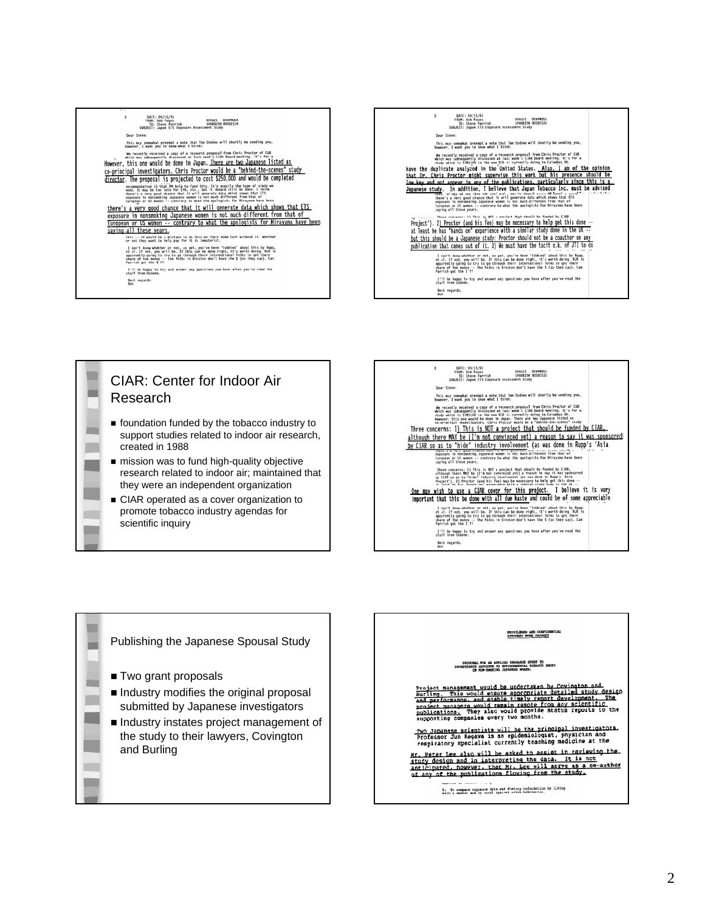DATE: 04/15/91<br>FROM: Bob Pages<br>SPARISH WISO212A<br>SUBJICT: Japan ETS Exposure Assessment Study  $\epsilon$ Dear Steve: www.<br>This may somewhat preempt a mote that Tom Osdeme will shortly be sending you,<br>however, I want you to know what I think: When the state is contributed in a special and the state of the State Contributed in a special state of the state of the state of the state of the state of the state of the state of the state of the principal investigators . (In proposal is prior to the result of the second in the second state of the proposal is presented in the second state of the second state in the second state in the second state in the second state in the second state there's a very good chance that it will generate data which shows that ETS<br>exposure in nonsmoking Japanese women is not much different from that of<br>European or US women -- contrary to what the apologists for Hirayama have Saving all these years.<br>
Saving all these years.<br>
or not they want to help pay for it is ismaterial. or not they want to help pay for it is immaterial.<br>I don't know whether or not, as yet, you've been 'leabled' about this by Rapp,<br>ct al. If not, you will be. If this can be done right, it's worth doing. RER is<br>apprenently rarrism yes sme a rr<br>- I'll be happy to try and answer any questions you have after you've read the<br>stuff from Osdene. Best regards,











#### PROFORM, FOR AN APPLIED RESEARCH STORY TO<br>INVESTIGATE EXPOSURE TO ENVIRONMENTAL TOBACCO SMOKE

Project management would be undertaken by Covington and<br>Burling. This would ensure appropriate detailed study design<br>and performance, and enable timely report development. The<br>project managers would remain resock from any

<u>Two Japanese scientists will be the principal investigators.</u><br>Professor Jun Kagawa is an epidemiologist, physician and<br>respiratory specialist currently teaching medicine at the

respiratory specialist currencry community measures and the same that the same in the same that the same and in interpreting the data. It is not anticipated, however, that Mr. Lee will serve as a co-author of any of the pu

6. To compare exposure data and distary information by living<br>with a menter and by rural against urban habitation.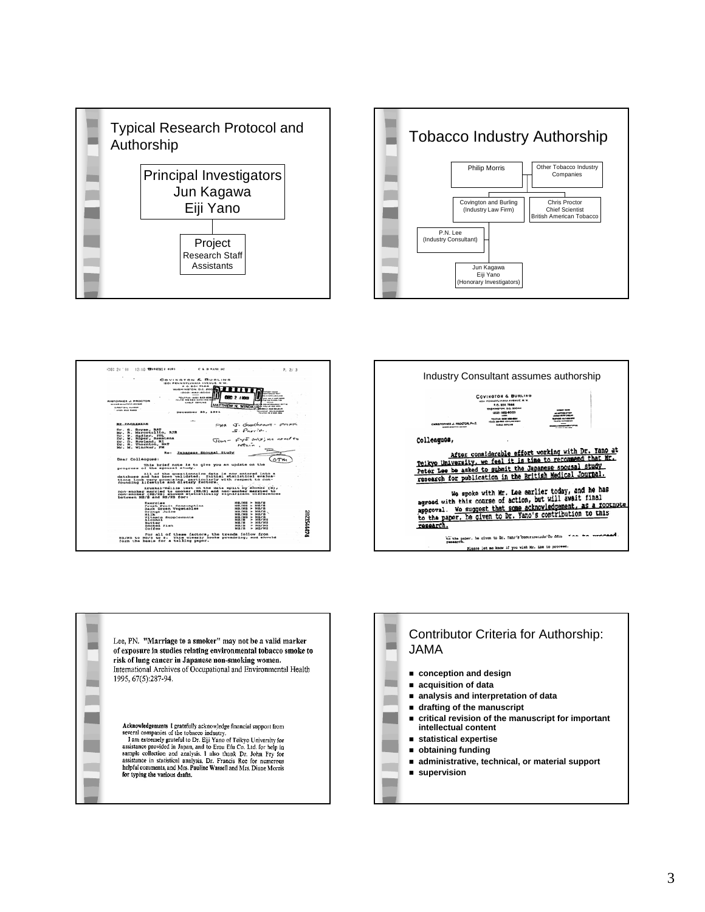



|                                                                                                         | COVINGTON & BURLING                                                       |                                    |                                                            |           |
|---------------------------------------------------------------------------------------------------------|---------------------------------------------------------------------------|------------------------------------|------------------------------------------------------------|-----------|
|                                                                                                         | IBOI PENNSYLVANIA AVENUE, N W.<br><b>P.O. BOX 7566</b>                    |                                    |                                                            |           |
|                                                                                                         | <b>WASHINGTON, D.C. 200</b>                                               |                                    |                                                            |           |
|                                                                                                         | 0000108-000                                                               |                                    |                                                            |           |
|                                                                                                         | <b>2010/02/10 10:00 A 80-8000</b><br><b>INCLUDE THE RIGHT INCOME INC.</b> |                                    | --------<br><b>COL BE CITED BEES</b>                       |           |
| <b>RISTOPHER J. PROGTOR</b><br><b>MODE MONTHS OFFICE</b>                                                | LABLE CONVINS                                                             |                                    | for an increase the<br><b><i>DELIVERATION OF STARS</i></b> |           |
| <b>LOANT BULL HARRES</b>                                                                                |                                                                           |                                    | THEW N. WINOKURF<br><b>BELLE AND BELEVIE</b>               |           |
| <b>LESS CAR ROOM</b>                                                                                    | December 23, 1991                                                         |                                    | <b>Scotting HALLMAN</b><br>Telectric Ind & Milk Sole       |           |
|                                                                                                         |                                                                           |                                    |                                                            |           |
|                                                                                                         |                                                                           |                                    |                                                            |           |
| BY FACSIMILE                                                                                            |                                                                           |                                    | For J. Goodheant - PMKK                                    |           |
| Dr. S. Boyse, BAT                                                                                       |                                                                           | $S.$ Parrish.                      |                                                            |           |
| Mr. R. Marcotullio, RJR<br>Dr. P. Sadler, ITL                                                           |                                                                           |                                    |                                                            |           |
| Dr. W. Roper, Reentena                                                                                  |                                                                           |                                    | Jour - Fy = any; no need to                                |           |
| Dr. D. Rowland, RI                                                                                      |                                                                           |                                    |                                                            |           |
| Dr. R. Thornton, BAT<br>Mr. M. Winoxur, PM                                                              |                                                                           | return,                            |                                                            |           |
| <b>Box</b>                                                                                              | Jananese Spousal Study                                                    |                                    |                                                            |           |
|                                                                                                         |                                                                           |                                    |                                                            |           |
| Dear Colleagues:                                                                                        |                                                                           |                                    |                                                            |           |
|                                                                                                         | This brief note is to give you an update on the                           |                                    |                                                            |           |
| progress of the spousal study.                                                                          |                                                                           |                                    |                                                            |           |
| database and has been validated. Initial statistical evalua-                                            | All of the questionnaire data is now entered into a                       |                                    |                                                            |           |
| tions look very promising, particularly with respect to con-<br>founding lifestyle and dietary factors. |                                                                           |                                    |                                                            |           |
|                                                                                                         |                                                                           |                                    |                                                            |           |
|                                                                                                         | Kruskal-Wallis test on the data split by shoker (S),                      |                                    |                                                            |           |
| non-smoker married to cmoker (MS/S) and non-smoker married to                                           |                                                                           |                                    |                                                            |           |
| non-smoker (NS/NS) showed statistically significant differences<br>between NS/S and NS/NS for:          |                                                                           |                                    |                                                            |           |
| Exercise                                                                                                |                                                                           | $MB/MB$ $\geq$ $BB/8$              |                                                            |           |
|                                                                                                         | Fresh Fruit Consumption                                                   | <b>NG / NG</b><br><b>NH3 / NH3</b> | $h$ <i><b>NG/6</b></i><br>NS / 5                           |           |
| Orange Julce                                                                                            | Dark Green Vegetables                                                     | на/ма »                            | $M B / B$ .                                                |           |
| M11k                                                                                                    |                                                                           | <b>NH / NH 1-</b>                  | NH/6                                                       |           |
| Vitamin Supplements                                                                                     |                                                                           | <b>NG / NG</b>                     | - 14<br><b>MG/S</b>                                        |           |
| Alcohol                                                                                                 |                                                                           | <b>NA/B</b><br>$X \times Y$        | <b>MRZW8</b><br>$M \otimes J M \otimes$<br>$\rightarrow$   |           |
| <b>Butter</b><br>Snoked Fish                                                                            |                                                                           | <b>NS/S</b>                        | <b>NHL/NHL</b>                                             |           |
| Coffee                                                                                                  |                                                                           | 88.9 / 5                           | NO/NO                                                      | 202224447 |
|                                                                                                         | For all of these factors, the trends follow from                          |                                    |                                                            |           |
| NS/NS to NS/S to S. This clearly looks promising, and should                                            | form the basis for a telling paper.                                       |                                    |                                                            |           |





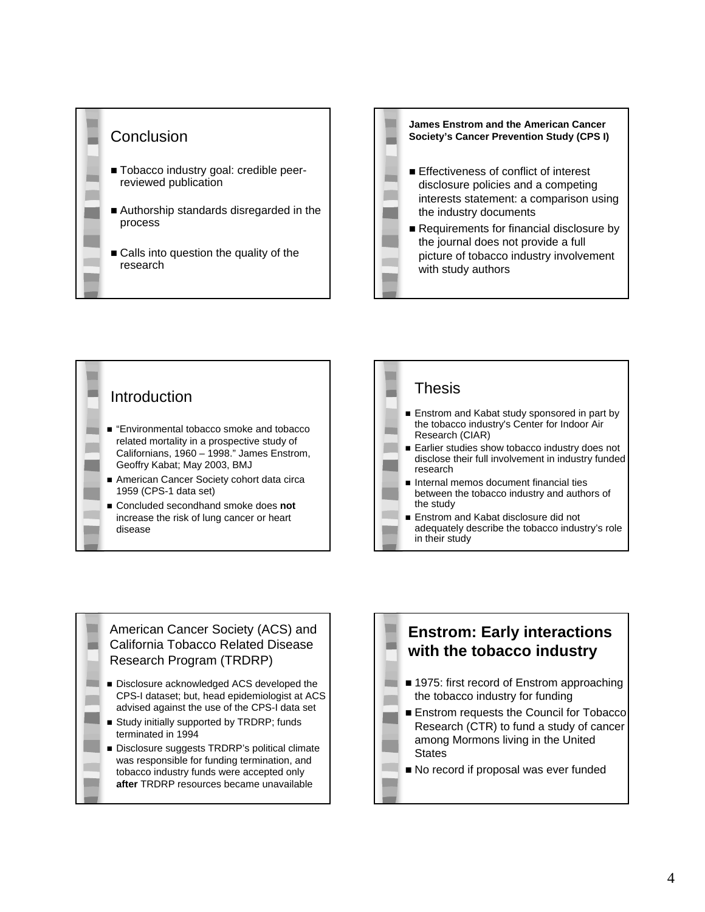







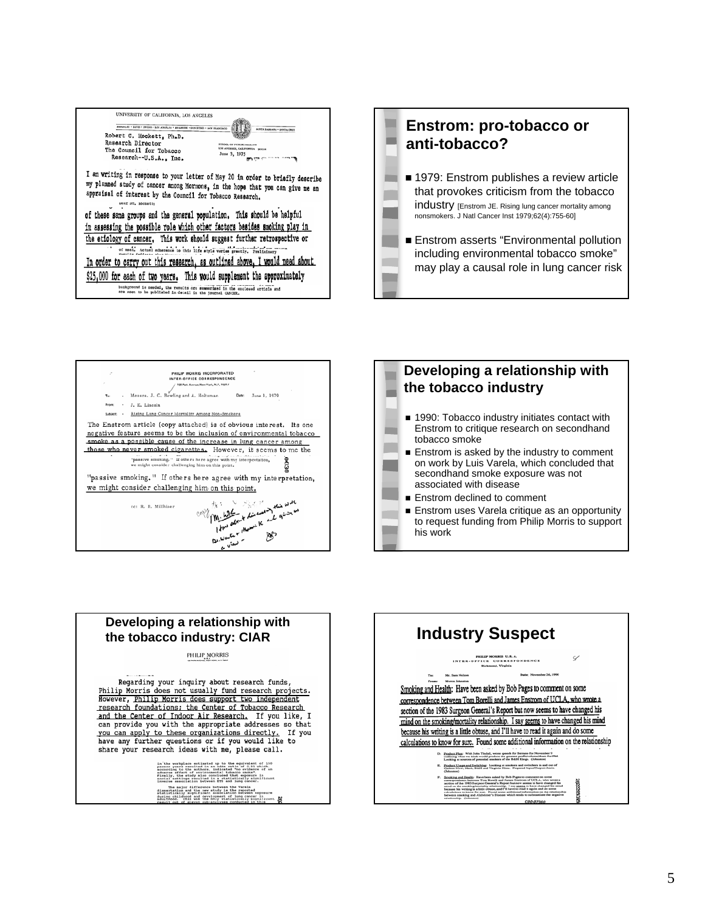

## **Enstrom: pro-tobacco or anti-tobacco?** ■ 1979: Enstrom publishes a review article that provokes criticism from the tobacco industry [Enstrom JE. Rising lung cancer mortality among nonsmokers. J Natl Cancer Inst 1979;62(4):755-60] **Enstrom asserts "Environmental pollution** including environmental tobacco smoke" may play a causal role in lung cancer risk





### **Developing a relationship with the tobacco industry: CIAR Industry Suspect**

PHILIP MORRIS

Regarding your inquiry about research funds, Philip Morris does not usually fund research projects. However, Philip Morris does support two independent research foundations; the Center of Tobacco Research and the Center of Indoor Air Research. If you like, I can provide you with the appropriate addresses so that you can apply to these organizations directly. If you<br>have any further questions or if you would like to<br>share your research ideas with me, please call.

> in the workplace setimated up to the equivalent of 150 percent parts are particle to the authors indicated "more wideous of an according to the authors and the setimated of an according to the authors of an according the The major difference battern the Varsia<br>digenerated by a proposer of the content of the difference<br>during childhood and development of lump cancer in<br>during childhood and development of lump cancer in<br>adultions. This was t

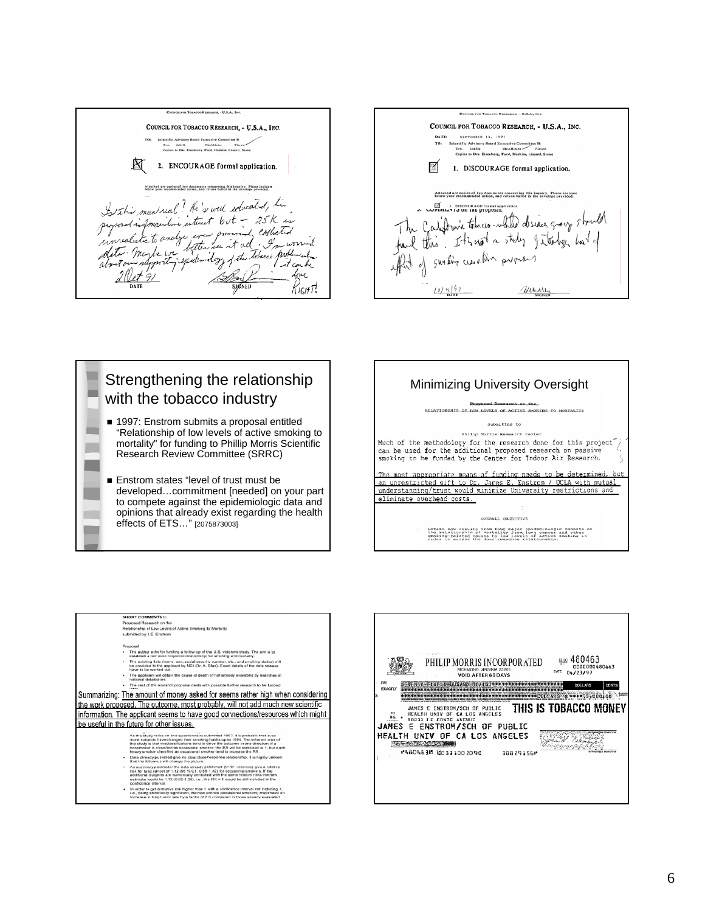COUNCIL FOR TOBACCO RESEARCH, - U.S.A., INC. 囟 2. ENCOURAGE formal application. Attached are copies of key documents concerning this inquiry. Please indicate<br>below your recommended action, and return ballot in the envelope provided. I this man real? He's well educated, his proposed information entired but the contract of the terminal content  $R_{\text{IGH}}$ T! SIGNED